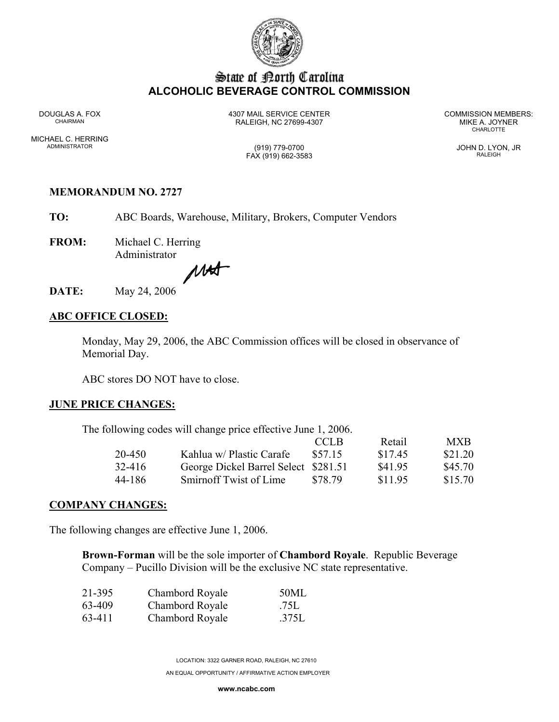

# State of Borth Carolina **ALCOHOLIC BEVERAGE CONTROL COMMISSION**

MICHAEL C. HERRING ADMINISTRATOR (919) 779-0700 JOHN D. LYON, JR

DOUGLAS A. FOX 4307 MAIL SERVICE CENTER COMMISSION MEMBERS:<br>CHAIRMAN CHAIRMAN RALEIGH, NC 27699-4307 MIKE A. JOYNER CHAIRMAN **CHARLOTTE** 

FAX (919) 662-3583 RALEIGH

## **MEMORANDUM NO. 2727**

 **TO:** ABC Boards, Warehouse, Military, Brokers, Computer Vendors

**FROM:** Michael C. Herring Administrator

MAX

**DATE:** May 24, 2006

## **ABC OFFICE CLOSED:**

Monday, May 29, 2006, the ABC Commission offices will be closed in observance of Memorial Day.

ABC stores DO NOT have to close.

### **JUNE PRICE CHANGES:**

The following codes will change price effective June 1, 2006.

|        |                                      | CCLB    | Retail  | MXB.    |
|--------|--------------------------------------|---------|---------|---------|
| 20-450 | Kahlua w/ Plastic Carafe             | \$57.15 | \$17.45 | \$21.20 |
| 32-416 | George Dickel Barrel Select \$281.51 |         | \$41.95 | \$45.70 |
| 44-186 | Smirnoff Twist of Lime               | \$78.79 | \$11.95 | \$15.70 |

### **COMPANY CHANGES:**

The following changes are effective June 1, 2006.

**Brown-Forman** will be the sole importer of **Chambord Royale**. Republic Beverage Company – Pucillo Division will be the exclusive NC state representative.

| 21-395 | Chambord Royale | 50ML  |
|--------|-----------------|-------|
| 63-409 | Chambord Royale | .75L  |
| 63-411 | Chambord Royale | .375L |

LOCATION: 3322 GARNER ROAD, RALEIGH, NC 27610 AN EQUAL OPPORTUNITY / AFFIRMATIVE ACTION EMPLOYER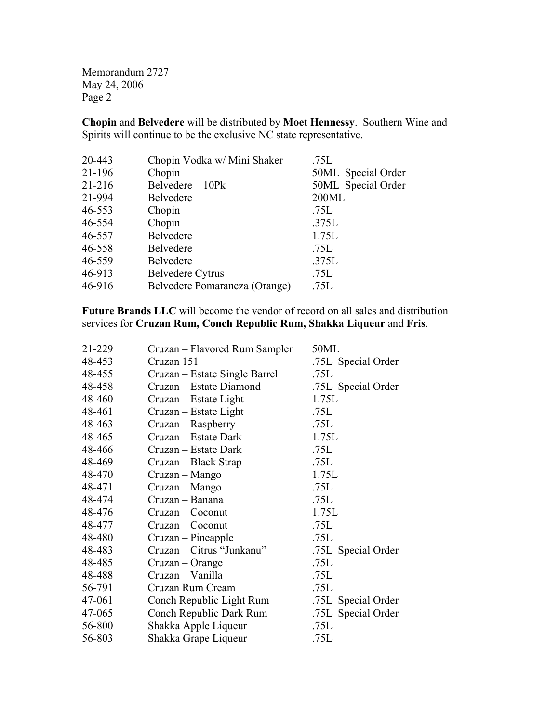Memorandum 2727 May 24, 2006 Page 2

**Chopin** and **Belvedere** will be distributed by **Moet Hennessy**. Southern Wine and Spirits will continue to be the exclusive NC state representative.

| 21-196<br>Chopin<br>Belvedere - 10Pk<br>21-216<br>21-994<br>200ML<br><b>Belvedere</b><br>46-553<br>.75L<br>Chopin<br>Chopin<br>46-554<br>.375L<br>Belvedere<br>46-557<br>1.75L<br>46-558<br><b>Belvedere</b><br>.75L<br><b>Belvedere</b><br>46-559<br>.375L<br>46-913<br><b>Belvedere Cytrus</b><br>.75L<br>46-916<br>Belvedere Pomarancza (Orange)<br>.75L | 20-443 | Chopin Vodka w/ Mini Shaker | .75L               |
|-------------------------------------------------------------------------------------------------------------------------------------------------------------------------------------------------------------------------------------------------------------------------------------------------------------------------------------------------------------|--------|-----------------------------|--------------------|
|                                                                                                                                                                                                                                                                                                                                                             |        |                             | 50ML Special Order |
|                                                                                                                                                                                                                                                                                                                                                             |        |                             | 50ML Special Order |
|                                                                                                                                                                                                                                                                                                                                                             |        |                             |                    |
|                                                                                                                                                                                                                                                                                                                                                             |        |                             |                    |
|                                                                                                                                                                                                                                                                                                                                                             |        |                             |                    |
|                                                                                                                                                                                                                                                                                                                                                             |        |                             |                    |
|                                                                                                                                                                                                                                                                                                                                                             |        |                             |                    |
|                                                                                                                                                                                                                                                                                                                                                             |        |                             |                    |
|                                                                                                                                                                                                                                                                                                                                                             |        |                             |                    |
|                                                                                                                                                                                                                                                                                                                                                             |        |                             |                    |

**Future Brands LLC** will become the vendor of record on all sales and distribution services for **Cruzan Rum, Conch Republic Rum, Shakka Liqueur** and **Fris**.

| 21-229 | Cruzan – Flavored Rum Sampler | 50ML               |
|--------|-------------------------------|--------------------|
| 48-453 | Cruzan 151                    | .75L Special Order |
| 48-455 | Cruzan – Estate Single Barrel | .75L               |
| 48-458 | Cruzan – Estate Diamond       | .75L Special Order |
| 48-460 | Cruzan – Estate Light         | 1.75L              |
| 48-461 | Cruzan – Estate Light         | .75L               |
| 48-463 | Cruzan – Raspberry            | .75L               |
| 48-465 | Cruzan – Estate Dark          | 1.75L              |
| 48-466 | Cruzan – Estate Dark          | .75L               |
| 48-469 | Cruzan – Black Strap          | .75L               |
| 48-470 | Cruzan – Mango                | 1.75L              |
| 48-471 | Cruzan – Mango                | .75L               |
| 48-474 | Cruzan - Banana               | .75L               |
| 48-476 | Cruzan – Coconut              | 1.75L              |
| 48-477 | Cruzan – Coconut              | .75L               |
| 48-480 | Cruzan – Pineapple            | .75L               |
| 48-483 | Cruzan – Citrus "Junkanu"     | .75L Special Order |
| 48-485 | Cruzan – Orange               | .75L               |
| 48-488 | Cruzan - Vanilla              | .75L               |
| 56-791 | Cruzan Rum Cream              | .75L               |
| 47-061 | Conch Republic Light Rum      | .75L Special Order |
| 47-065 | Conch Republic Dark Rum       | .75L Special Order |
| 56-800 | Shakka Apple Liqueur          | .75L               |
| 56-803 | Shakka Grape Liqueur          | .75L               |